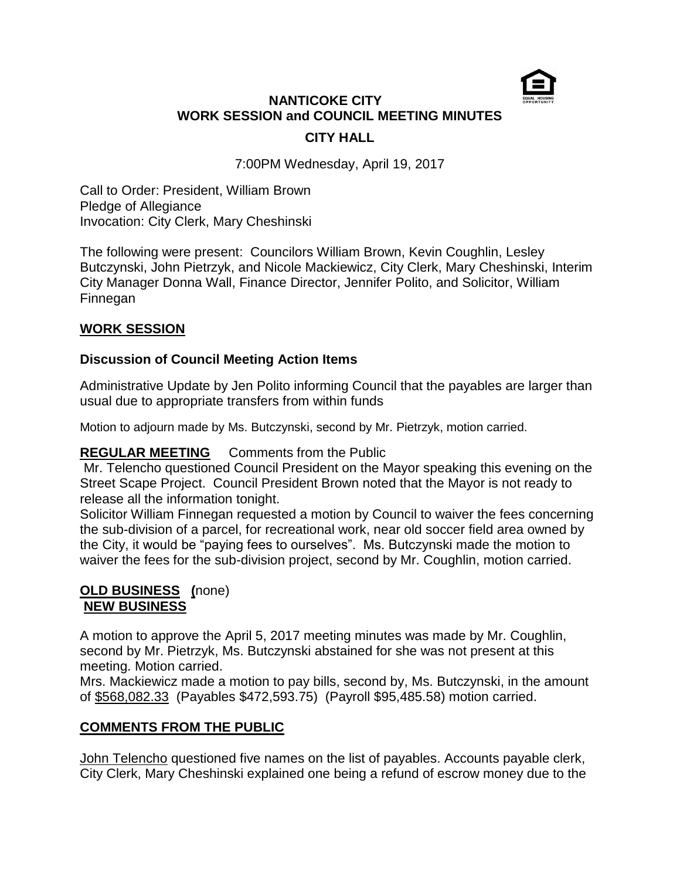

# **NANTICOKE CITY WORK SESSION and COUNCIL MEETING MINUTES CITY HALL**

7:00PM Wednesday, April 19, 2017

Call to Order: President, William Brown Pledge of Allegiance Invocation: City Clerk, Mary Cheshinski

The following were present: Councilors William Brown, Kevin Coughlin, Lesley Butczynski, John Pietrzyk, and Nicole Mackiewicz, City Clerk, Mary Cheshinski, Interim City Manager Donna Wall, Finance Director, Jennifer Polito, and Solicitor, William Finnegan

## **WORK SESSION**

#### **Discussion of Council Meeting Action Items**

Administrative Update by Jen Polito informing Council that the payables are larger than usual due to appropriate transfers from within funds

Motion to adjourn made by Ms. Butczynski, second by Mr. Pietrzyk, motion carried.

#### **REGULAR MEETING** Comments from the Public

Mr. Telencho questioned Council President on the Mayor speaking this evening on the Street Scape Project. Council President Brown noted that the Mayor is not ready to release all the information tonight.

Solicitor William Finnegan requested a motion by Council to waiver the fees concerning the sub-division of a parcel, for recreational work, near old soccer field area owned by the City, it would be "paying fees to ourselves". Ms. Butczynski made the motion to waiver the fees for the sub-division project, second by Mr. Coughlin, motion carried.

#### **OLD BUSINESS (**none) **NEW BUSINESS**

A motion to approve the April 5, 2017 meeting minutes was made by Mr. Coughlin, second by Mr. Pietrzyk, Ms. Butczynski abstained for she was not present at this meeting. Motion carried.

Mrs. Mackiewicz made a motion to pay bills, second by, Ms. Butczynski, in the amount of \$568,082.33 (Payables \$472,593.75) (Payroll \$95,485.58) motion carried.

#### **COMMENTS FROM THE PUBLIC**

John Telencho questioned five names on the list of payables. Accounts payable clerk, City Clerk, Mary Cheshinski explained one being a refund of escrow money due to the